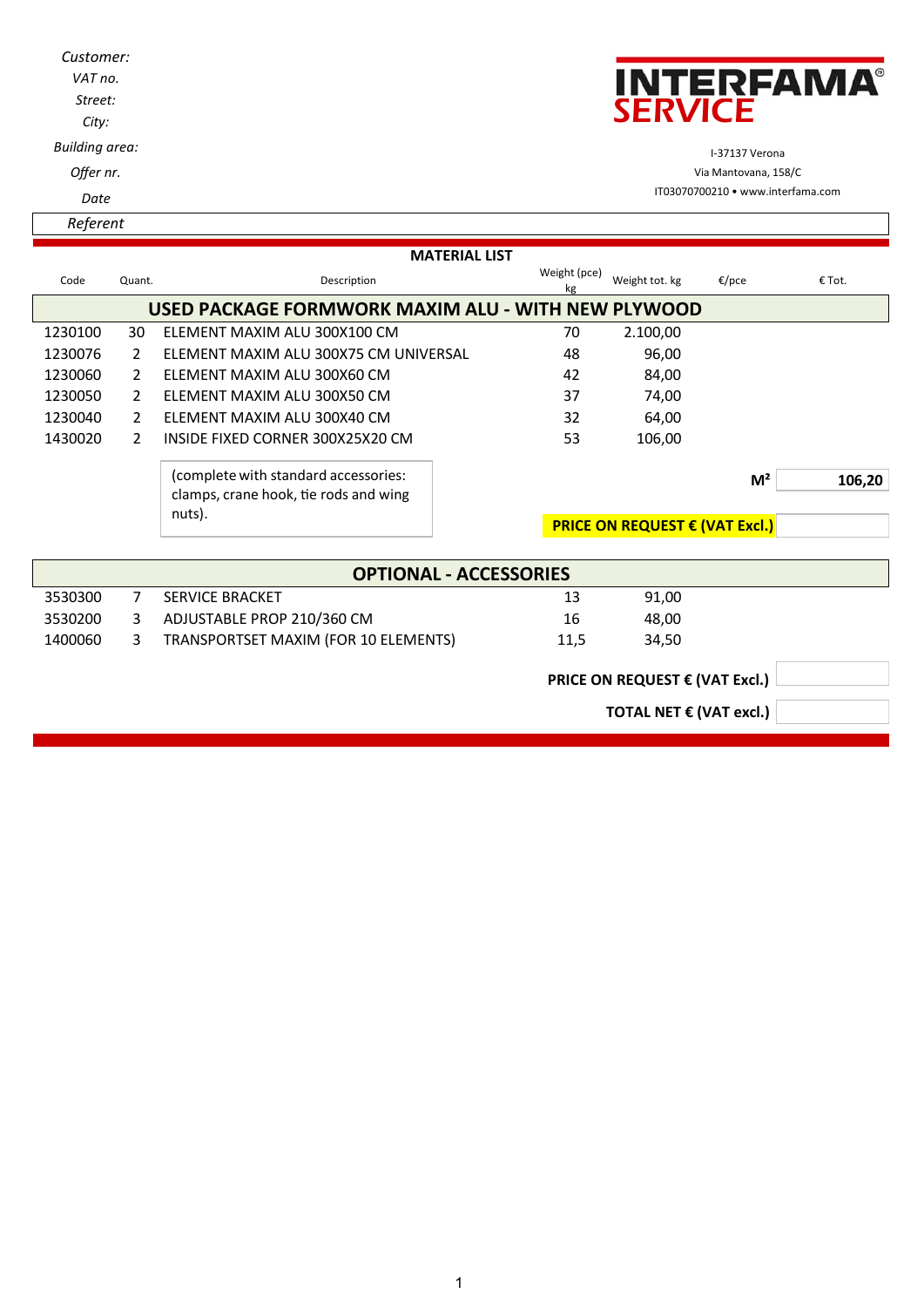| Customer:<br>VAT no.<br>Street:<br>City:           |        |                              | <b>INTERFAMA®</b><br><b>SERVICE</b> |                |       |        |  |
|----------------------------------------------------|--------|------------------------------|-------------------------------------|----------------|-------|--------|--|
| <b>Building area:</b>                              |        |                              | I-37137 Verona                      |                |       |        |  |
| Offer nr.                                          |        |                              | Via Mantovana, 158/C                |                |       |        |  |
| Date                                               |        |                              | IT03070700210 • www.interfama.com   |                |       |        |  |
| Referent                                           |        |                              |                                     |                |       |        |  |
|                                                    |        | <b>MATERIAL LIST</b>         |                                     |                |       |        |  |
| Code                                               | Quant. | Description                  | Weight (pce)<br>kg                  | Weight tot. kg | €/pce | € Tot. |  |
| USED PACKAGE FORMWORK MAXIM ALU - WITH NEW PLYWOOD |        |                              |                                     |                |       |        |  |
| 1230100                                            | 30     | ELEMENT MAXIM ALU 300X100 CM | 70                                  | 2.100,00       |       |        |  |

1230076 2 ELEMENT MAXIM ALU 300X75 CM UNIVERSAL 48 96,00 1230060 2 ELEMENT MAXIM ALU 300X60 CM 42 84,00 1230050 2 ELEMENT MAXIM ALU 300X50 CM 37 37 74,00 1230040 2 ELEMENT MAXIM ALU 300X40 CM 32 64,00 1430020 2 INSIDE FIXED CORNER 300X25X20 CM 53 106,00

> (complete with standard accessories: clamps, crane hook, tie rods and wing

nuts).

|                               |    | $i$ uus).                            |                                         |                         | <b>PRICE ON REQUEST € (VAT Excl.)</b> |  |  |
|-------------------------------|----|--------------------------------------|-----------------------------------------|-------------------------|---------------------------------------|--|--|
|                               |    |                                      |                                         |                         |                                       |  |  |
| <b>OPTIONAL - ACCESSORIES</b> |    |                                      |                                         |                         |                                       |  |  |
| 3530300                       | 7  | SERVICE BRACKET                      |                                         | 13                      | 91,00                                 |  |  |
| 3530200                       | 3  | ADJUSTABLE PROP 210/360 CM           |                                         | 16                      | 48,00                                 |  |  |
| 1400060                       | 3. | TRANSPORTSET MAXIM (FOR 10 ELEMENTS) |                                         | 11,5                    | 34,50                                 |  |  |
|                               |    |                                      | PRICE ON REQUEST $\epsilon$ (VAT Excl.) |                         |                                       |  |  |
|                               |    |                                      |                                         | TOTAL NET € (VAT excl.) |                                       |  |  |
|                               |    |                                      |                                         |                         |                                       |  |  |

**M² 106,20**